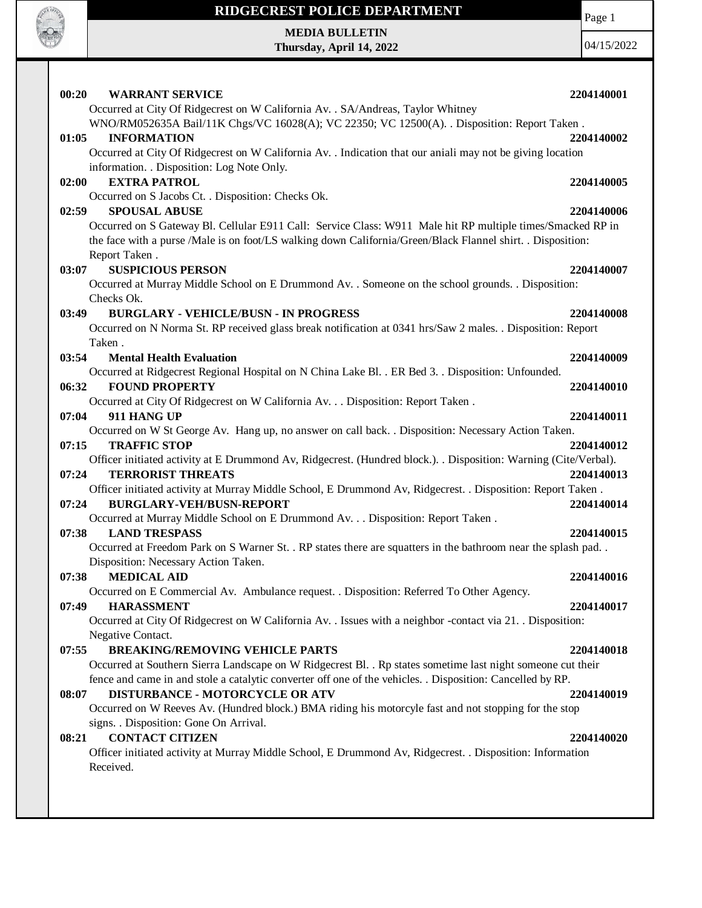

**MEDIA BULLETIN Thursday, April 14, 2022** Page 1 04/15/2022

| 00:20<br><b>WARRANT SERVICE</b>                                                                                       | 2204140001 |
|-----------------------------------------------------------------------------------------------------------------------|------------|
| Occurred at City Of Ridgecrest on W California Av. . SA/Andreas, Taylor Whitney                                       |            |
| WNO/RM052635A Bail/11K Chgs/VC 16028(A); VC 22350; VC 12500(A). . Disposition: Report Taken.                          |            |
| <b>INFORMATION</b><br>01:05                                                                                           | 2204140002 |
| Occurred at City Of Ridgecrest on W California Av. . Indication that our aniali may not be giving location            |            |
| information. . Disposition: Log Note Only.                                                                            |            |
| <b>EXTRA PATROL</b><br>02:00                                                                                          | 2204140005 |
| Occurred on S Jacobs Ct. . Disposition: Checks Ok.                                                                    |            |
| <b>SPOUSAL ABUSE</b><br>02:59                                                                                         | 2204140006 |
| Occurred on S Gateway Bl. Cellular E911 Call: Service Class: W911 Male hit RP multiple times/Smacked RP in            |            |
| the face with a purse /Male is on foot/LS walking down California/Green/Black Flannel shirt. . Disposition:           |            |
| Report Taken.                                                                                                         |            |
| <b>SUSPICIOUS PERSON</b><br>03:07                                                                                     | 2204140007 |
| Occurred at Murray Middle School on E Drummond Av. . Someone on the school grounds. . Disposition:                    |            |
| Checks Ok.                                                                                                            |            |
| <b>BURGLARY - VEHICLE/BUSN - IN PROGRESS</b><br>03:49                                                                 | 2204140008 |
| Occurred on N Norma St. RP received glass break notification at 0341 hrs/Saw 2 males. . Disposition: Report<br>Taken. |            |
| 03:54<br><b>Mental Health Evaluation</b>                                                                              | 2204140009 |
| Occurred at Ridgecrest Regional Hospital on N China Lake Bl. . ER Bed 3. . Disposition: Unfounded.                    |            |
| <b>FOUND PROPERTY</b><br>06:32                                                                                        | 2204140010 |
| Occurred at City Of Ridgecrest on W California Av. Disposition: Report Taken .                                        |            |
| 911 HANG UP<br>07:04                                                                                                  | 2204140011 |
| Occurred on W St George Av. Hang up, no answer on call back. . Disposition: Necessary Action Taken.                   |            |
| <b>TRAFFIC STOP</b><br>07:15                                                                                          | 2204140012 |
| Officer initiated activity at E Drummond Av, Ridgecrest. (Hundred block.). . Disposition: Warning (Cite/Verbal).      |            |
| <b>TERRORIST THREATS</b><br>07:24                                                                                     | 2204140013 |
| Officer initiated activity at Murray Middle School, E Drummond Av, Ridgecrest. . Disposition: Report Taken.           |            |
| <b>BURGLARY-VEH/BUSN-REPORT</b><br>07:24                                                                              | 2204140014 |
| Occurred at Murray Middle School on E Drummond Av. Disposition: Report Taken .                                        |            |
| <b>LAND TRESPASS</b><br>07:38                                                                                         | 2204140015 |
| Occurred at Freedom Park on S Warner St. . RP states there are squatters in the bathroom near the splash pad. .       |            |
| Disposition: Necessary Action Taken.                                                                                  |            |
| <b>MEDICAL AID</b><br>07:38                                                                                           | 2204140016 |
| Occurred on E Commercial Av. Ambulance request. . Disposition: Referred To Other Agency.                              |            |
| <b>HARASSMENT</b><br>07:49                                                                                            | 2204140017 |
| Occurred at City Of Ridgecrest on W California Av. . Issues with a neighbor -contact via 21. . Disposition:           |            |
| Negative Contact.                                                                                                     |            |
| <b>BREAKING/REMOVING VEHICLE PARTS</b><br>07:55                                                                       | 2204140018 |
| Occurred at Southern Sierra Landscape on W Ridgecrest Bl. . Rp states sometime last night someone cut their           |            |
| fence and came in and stole a catalytic converter off one of the vehicles. . Disposition: Cancelled by RP.            |            |
| DISTURBANCE - MOTORCYCLE OR ATV<br>08:07                                                                              | 2204140019 |
| Occurred on W Reeves Av. (Hundred block.) BMA riding his motorcyle fast and not stopping for the stop                 |            |
| signs. . Disposition: Gone On Arrival.                                                                                |            |
| <b>CONTACT CITIZEN</b><br>08:21                                                                                       | 2204140020 |
| Officer initiated activity at Murray Middle School, E Drummond Av, Ridgecrest. . Disposition: Information             |            |
| Received.                                                                                                             |            |
|                                                                                                                       |            |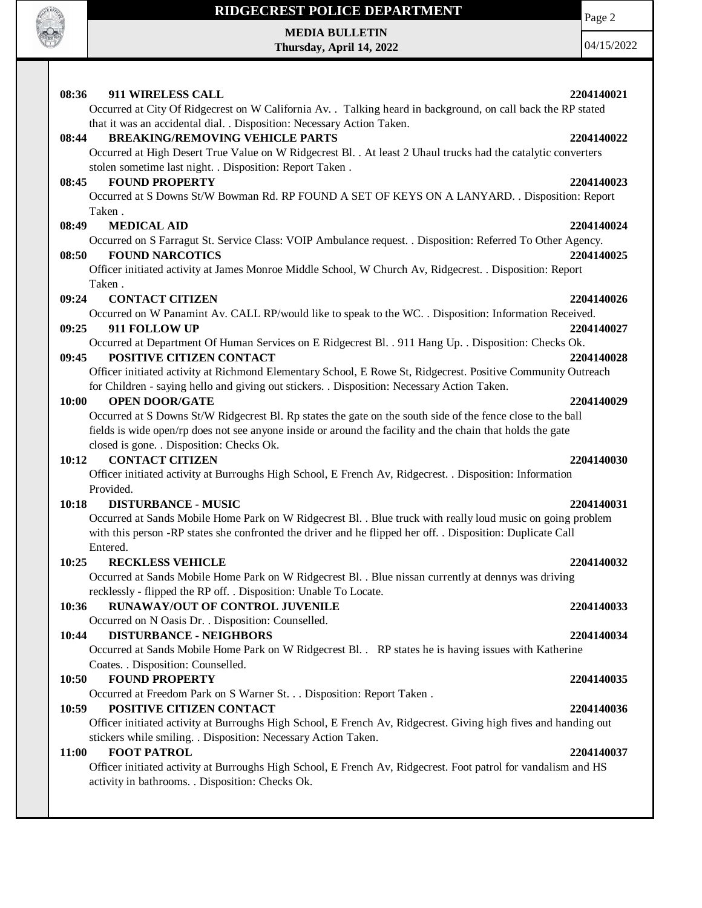

**MEDIA BULLETIN Thursday, April 14, 2022**

04/15/2022

Page 2

| 08:36<br>911 WIRELESS CALL                                                                                      | 2204140021 |
|-----------------------------------------------------------------------------------------------------------------|------------|
| Occurred at City Of Ridgecrest on W California Av. . Talking heard in background, on call back the RP stated    |            |
| that it was an accidental dial. . Disposition: Necessary Action Taken.                                          |            |
| <b>BREAKING/REMOVING VEHICLE PARTS</b><br>08:44                                                                 | 2204140022 |
| Occurred at High Desert True Value on W Ridgecrest Bl. . At least 2 Uhaul trucks had the catalytic converters   |            |
| stolen sometime last night. . Disposition: Report Taken.                                                        |            |
| <b>FOUND PROPERTY</b><br>08:45                                                                                  | 2204140023 |
| Occurred at S Downs St/W Bowman Rd. RP FOUND A SET OF KEYS ON A LANYARD. . Disposition: Report                  |            |
| Taken.                                                                                                          |            |
| 08:49<br><b>MEDICAL AID</b>                                                                                     | 2204140024 |
| Occurred on S Farragut St. Service Class: VOIP Ambulance request. . Disposition: Referred To Other Agency.      |            |
| <b>FOUND NARCOTICS</b><br>08:50                                                                                 | 2204140025 |
| Officer initiated activity at James Monroe Middle School, W Church Av, Ridgecrest. . Disposition: Report        |            |
| Taken.                                                                                                          |            |
| 09:24<br><b>CONTACT CITIZEN</b>                                                                                 | 2204140026 |
| Occurred on W Panamint Av. CALL RP/would like to speak to the WC. . Disposition: Information Received.          |            |
| 911 FOLLOW UP<br>09:25                                                                                          | 2204140027 |
| Occurred at Department Of Human Services on E Ridgecrest Bl. . 911 Hang Up. . Disposition: Checks Ok.           |            |
| POSITIVE CITIZEN CONTACT<br>09:45                                                                               | 2204140028 |
| Officer initiated activity at Richmond Elementary School, E Rowe St, Ridgecrest. Positive Community Outreach    |            |
| for Children - saying hello and giving out stickers. . Disposition: Necessary Action Taken.                     |            |
| <b>OPEN DOOR/GATE</b><br>10:00                                                                                  | 2204140029 |
| Occurred at S Downs St/W Ridgecrest Bl. Rp states the gate on the south side of the fence close to the ball     |            |
| fields is wide open/rp does not see anyone inside or around the facility and the chain that holds the gate      |            |
| closed is gone. . Disposition: Checks Ok.                                                                       |            |
| 10:12<br><b>CONTACT CITIZEN</b>                                                                                 | 2204140030 |
| Officer initiated activity at Burroughs High School, E French Av, Ridgecrest. . Disposition: Information        |            |
| Provided.                                                                                                       |            |
| <b>DISTURBANCE - MUSIC</b><br>10:18                                                                             | 2204140031 |
| Occurred at Sands Mobile Home Park on W Ridgecrest Bl. . Blue truck with really loud music on going problem     |            |
| with this person -RP states she confronted the driver and he flipped her off. . Disposition: Duplicate Call     |            |
| Entered.                                                                                                        |            |
| 10:25<br><b>RECKLESS VEHICLE</b>                                                                                | 2204140032 |
| Occurred at Sands Mobile Home Park on W Ridgecrest Bl. . Blue nissan currently at dennys was driving            |            |
| recklessly - flipped the RP off. . Disposition: Unable To Locate.                                               |            |
| <b>RUNAWAY/OUT OF CONTROL JUVENILE</b><br>10:36                                                                 | 2204140033 |
| Occurred on N Oasis Dr. . Disposition: Counselled.                                                              |            |
| <b>DISTURBANCE - NEIGHBORS</b><br>10:44                                                                         | 2204140034 |
| Occurred at Sands Mobile Home Park on W Ridgecrest Bl. . RP states he is having issues with Katherine           |            |
| Coates. . Disposition: Counselled.                                                                              |            |
| <b>FOUND PROPERTY</b><br>10:50                                                                                  | 2204140035 |
| Occurred at Freedom Park on S Warner St. Disposition: Report Taken .                                            |            |
| POSITIVE CITIZEN CONTACT<br>10:59                                                                               | 2204140036 |
| Officer initiated activity at Burroughs High School, E French Av, Ridgecrest. Giving high fives and handing out |            |
| stickers while smiling. . Disposition: Necessary Action Taken.                                                  |            |
| <b>FOOT PATROL</b><br>11:00                                                                                     | 2204140037 |
| Officer initiated activity at Burroughs High School, E French Av, Ridgecrest. Foot patrol for vandalism and HS  |            |
| activity in bathrooms. . Disposition: Checks Ok.                                                                |            |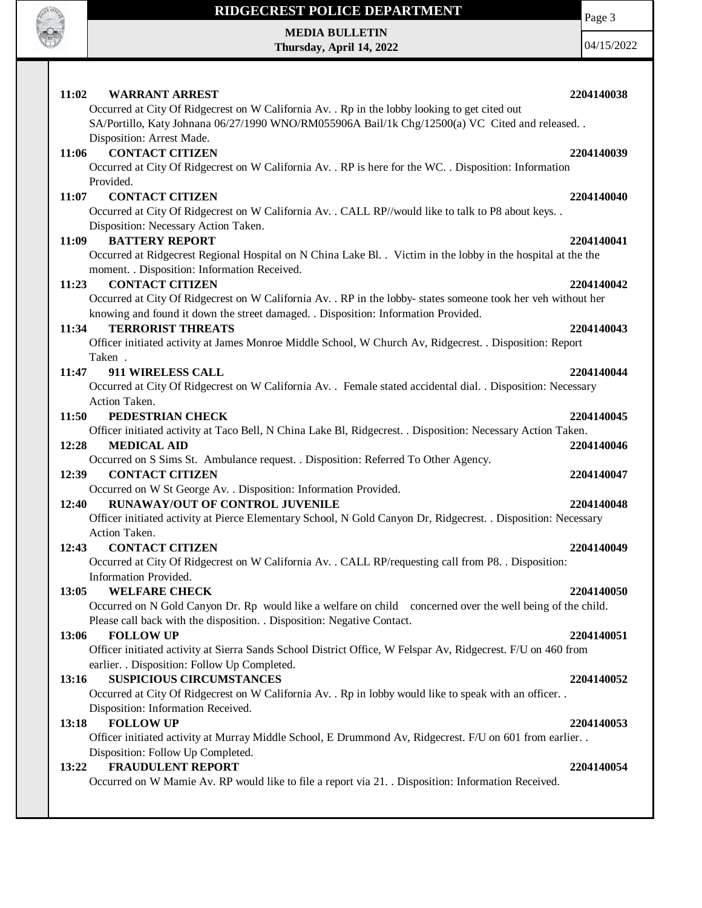

**MEDIA BULLETIN Thursday, April 14, 2022** Page 3

04/15/2022

| 11:02<br><b>WARRANT ARREST</b>                                                                                                                                                                     | 2204140038 |
|----------------------------------------------------------------------------------------------------------------------------------------------------------------------------------------------------|------------|
| Occurred at City Of Ridgecrest on W California Av. . Rp in the lobby looking to get cited out<br>SA/Portillo, Katy Johnana 06/27/1990 WNO/RM055906A Bail/1k Chg/12500(a) VC Cited and released. .  |            |
| Disposition: Arrest Made.<br><b>CONTACT CITIZEN</b><br>11:06                                                                                                                                       | 2204140039 |
| Occurred at City Of Ridgecrest on W California Av. . RP is here for the WC. . Disposition: Information<br>Provided.                                                                                |            |
| <b>CONTACT CITIZEN</b><br>11:07                                                                                                                                                                    | 2204140040 |
| Occurred at City Of Ridgecrest on W California Av. . CALL RP//would like to talk to P8 about keys. .                                                                                               |            |
| Disposition: Necessary Action Taken.                                                                                                                                                               |            |
| <b>BATTERY REPORT</b><br>11:09                                                                                                                                                                     | 2204140041 |
| Occurred at Ridgecrest Regional Hospital on N China Lake Bl. . Victim in the lobby in the hospital at the the<br>moment. . Disposition: Information Received.                                      |            |
| <b>CONTACT CITIZEN</b><br>11:23                                                                                                                                                                    | 2204140042 |
| Occurred at City Of Ridgecrest on W California Av. . RP in the lobby-states someone took her veh without her<br>knowing and found it down the street damaged. . Disposition: Information Provided. |            |
| <b>TERRORIST THREATS</b><br>11:34                                                                                                                                                                  | 2204140043 |
| Officer initiated activity at James Monroe Middle School, W Church Av, Ridgecrest. . Disposition: Report                                                                                           |            |
| Taken.                                                                                                                                                                                             |            |
| 911 WIRELESS CALL<br>11:47                                                                                                                                                                         | 2204140044 |
| Occurred at City Of Ridgecrest on W California Av. . Female stated accidental dial. . Disposition: Necessary                                                                                       |            |
| Action Taken.                                                                                                                                                                                      |            |
| PEDESTRIAN CHECK<br>11:50                                                                                                                                                                          | 2204140045 |
| Officer initiated activity at Taco Bell, N China Lake Bl, Ridgecrest. . Disposition: Necessary Action Taken.                                                                                       |            |
| <b>MEDICAL AID</b><br>12:28                                                                                                                                                                        | 2204140046 |
| Occurred on S Sims St. Ambulance request. . Disposition: Referred To Other Agency.                                                                                                                 |            |
| 12:39<br><b>CONTACT CITIZEN</b>                                                                                                                                                                    | 2204140047 |
| Occurred on W St George Av. . Disposition: Information Provided.                                                                                                                                   |            |
| 12:40<br>RUNAWAY/OUT OF CONTROL JUVENILE                                                                                                                                                           | 2204140048 |
| Officer initiated activity at Pierce Elementary School, N Gold Canyon Dr, Ridgecrest. . Disposition: Necessary                                                                                     |            |
| Action Taken.                                                                                                                                                                                      |            |
| <b>CONTACT CITIZEN</b><br>12:43<br>Occurred at City Of Ridgecrest on W California Av. . CALL RP/requesting call from P8. . Disposition:                                                            | 2204140049 |
| Information Provided.                                                                                                                                                                              |            |
| 13:05 WELFARE CHECK                                                                                                                                                                                | 2204140050 |
| Occurred on N Gold Canyon Dr. Rp would like a welfare on child concerned over the well being of the child.                                                                                         |            |
| Please call back with the disposition. . Disposition: Negative Contact.                                                                                                                            |            |
| 13:06<br><b>FOLLOW UP</b>                                                                                                                                                                          | 2204140051 |
| Officer initiated activity at Sierra Sands School District Office, W Felspar Av, Ridgecrest. F/U on 460 from                                                                                       |            |
| earlier. . Disposition: Follow Up Completed.                                                                                                                                                       |            |
| 13:16<br><b>SUSPICIOUS CIRCUMSTANCES</b>                                                                                                                                                           | 2204140052 |
| Occurred at City Of Ridgecrest on W California Av. . Rp in lobby would like to speak with an officer. .                                                                                            |            |
| Disposition: Information Received.                                                                                                                                                                 |            |
| <b>FOLLOW UP</b><br>13:18                                                                                                                                                                          | 2204140053 |
| Officer initiated activity at Murray Middle School, E Drummond Av, Ridgecrest. F/U on 601 from earlier. .                                                                                          |            |
| Disposition: Follow Up Completed.                                                                                                                                                                  |            |
| <b>FRAUDULENT REPORT</b><br>13:22                                                                                                                                                                  | 2204140054 |
| Occurred on W Mamie Av. RP would like to file a report via 21. . Disposition: Information Received.                                                                                                |            |
|                                                                                                                                                                                                    |            |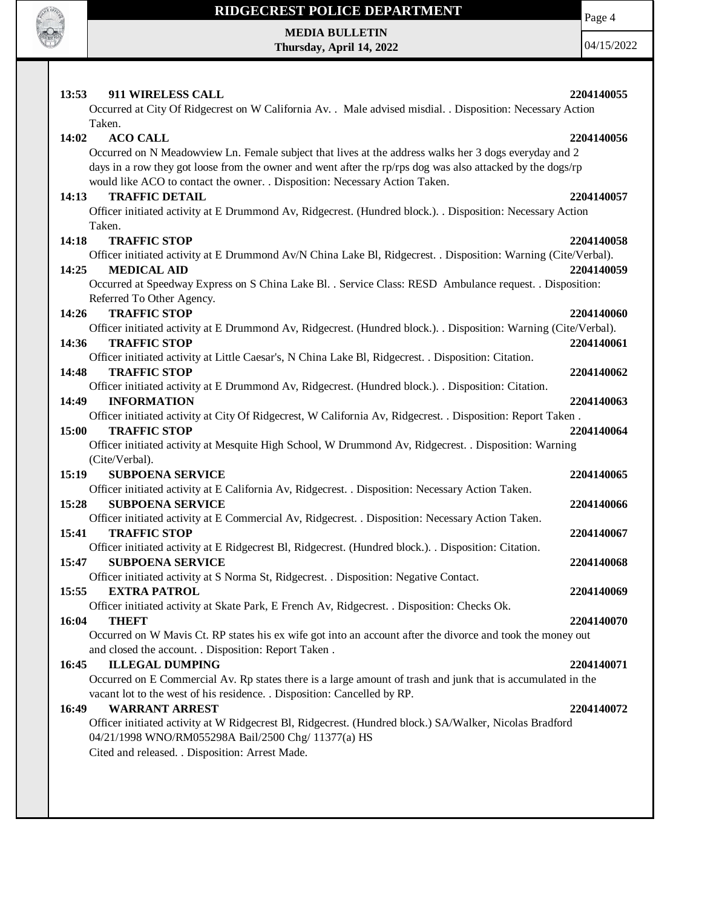

Page 4

**MEDIA BULLETIN Thursday, April 14, 2022**

04/15/2022

| 13:53 | 911 WIRELESS CALL                                                                                                                | 2204140055 |
|-------|----------------------------------------------------------------------------------------------------------------------------------|------------|
|       | Occurred at City Of Ridgecrest on W California Av. . Male advised misdial. . Disposition: Necessary Action                       |            |
|       | Taken.                                                                                                                           |            |
| 14:02 | <b>ACO CALL</b>                                                                                                                  | 2204140056 |
|       | Occurred on N Meadowview Ln. Female subject that lives at the address walks her 3 dogs everyday and 2                            |            |
|       | days in a row they got loose from the owner and went after the rp/rps dog was also attacked by the dogs/rp                       |            |
|       | would like ACO to contact the owner. . Disposition: Necessary Action Taken.                                                      |            |
| 14:13 | <b>TRAFFIC DETAIL</b>                                                                                                            | 2204140057 |
|       | Officer initiated activity at E Drummond Av, Ridgecrest. (Hundred block.). . Disposition: Necessary Action                       |            |
|       | Taken.                                                                                                                           |            |
| 14:18 | <b>TRAFFIC STOP</b>                                                                                                              | 2204140058 |
|       | Officer initiated activity at E Drummond Av/N China Lake Bl, Ridgecrest. . Disposition: Warning (Cite/Verbal).                   |            |
| 14:25 | <b>MEDICAL AID</b>                                                                                                               | 2204140059 |
|       | Occurred at Speedway Express on S China Lake Bl. . Service Class: RESD Ambulance request. . Disposition:                         |            |
|       | Referred To Other Agency.                                                                                                        |            |
| 14:26 | <b>TRAFFIC STOP</b>                                                                                                              | 2204140060 |
|       | Officer initiated activity at E Drummond Av, Ridgecrest. (Hundred block.). . Disposition: Warning (Cite/Verbal).                 |            |
| 14:36 | <b>TRAFFIC STOP</b>                                                                                                              | 2204140061 |
|       | Officer initiated activity at Little Caesar's, N China Lake Bl, Ridgecrest. . Disposition: Citation.                             |            |
| 14:48 | <b>TRAFFIC STOP</b>                                                                                                              | 2204140062 |
|       | Officer initiated activity at E Drummond Av, Ridgecrest. (Hundred block.). . Disposition: Citation.                              |            |
| 14:49 | <b>INFORMATION</b>                                                                                                               | 2204140063 |
|       | Officer initiated activity at City Of Ridgecrest, W California Av, Ridgecrest. . Disposition: Report Taken.                      |            |
| 15:00 | <b>TRAFFIC STOP</b>                                                                                                              | 2204140064 |
|       | Officer initiated activity at Mesquite High School, W Drummond Av, Ridgecrest. . Disposition: Warning                            |            |
|       | (Cite/Verbal).                                                                                                                   |            |
| 15:19 | <b>SUBPOENA SERVICE</b>                                                                                                          | 2204140065 |
|       | Officer initiated activity at E California Av, Ridgecrest. . Disposition: Necessary Action Taken.                                |            |
| 15:28 | <b>SUBPOENA SERVICE</b>                                                                                                          | 2204140066 |
|       | Officer initiated activity at E Commercial Av, Ridgecrest. . Disposition: Necessary Action Taken.                                |            |
| 15:41 | <b>TRAFFIC STOP</b>                                                                                                              | 2204140067 |
| 15:47 | Officer initiated activity at E Ridgecrest Bl, Ridgecrest. (Hundred block.). . Disposition: Citation.<br><b>SUBPOENA SERVICE</b> | 2204140068 |
|       | Officer initiated activity at S Norma St, Ridgecrest. . Disposition: Negative Contact.                                           |            |
| 15:55 | <b>EXTRA PATROL</b>                                                                                                              | 2204140069 |
|       | Officer initiated activity at Skate Park, E French Av, Ridgecrest. . Disposition: Checks Ok.                                     |            |
| 16:04 | <b>THEFT</b>                                                                                                                     | 2204140070 |
|       | Occurred on W Mavis Ct. RP states his ex wife got into an account after the divorce and took the money out                       |            |
|       | and closed the account. . Disposition: Report Taken .                                                                            |            |
| 16:45 | <b>ILLEGAL DUMPING</b>                                                                                                           | 2204140071 |
|       | Occurred on E Commercial Av. Rp states there is a large amount of trash and junk that is accumulated in the                      |            |
|       | vacant lot to the west of his residence. . Disposition: Cancelled by RP.                                                         |            |
| 16:49 | <b>WARRANT ARREST</b>                                                                                                            | 2204140072 |
|       | Officer initiated activity at W Ridgecrest Bl, Ridgecrest. (Hundred block.) SA/Walker, Nicolas Bradford                          |            |
|       | 04/21/1998 WNO/RM055298A Bail/2500 Chg/ 11377(a) HS                                                                              |            |
|       | Cited and released. . Disposition: Arrest Made.                                                                                  |            |
|       |                                                                                                                                  |            |
|       |                                                                                                                                  |            |
|       |                                                                                                                                  |            |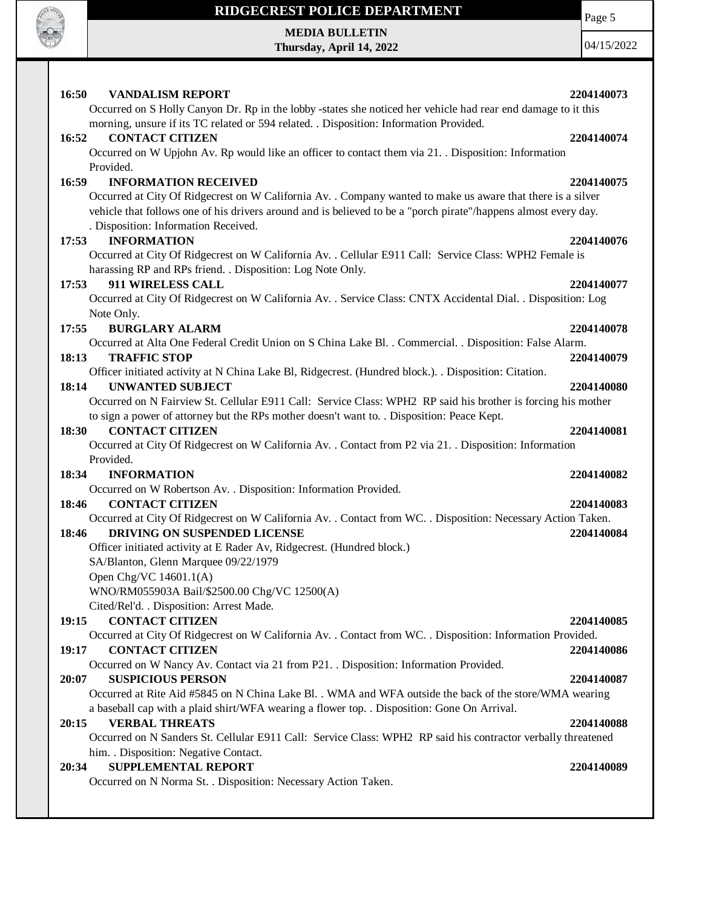

**MEDIA BULLETIN Thursday, April 14, 2022**

04/15/2022

Page 5

| 16:50<br><b>VANDALISM REPORT</b>                                                                                     | 2204140073 |
|----------------------------------------------------------------------------------------------------------------------|------------|
| Occurred on S Holly Canyon Dr. Rp in the lobby -states she noticed her vehicle had rear end damage to it this        |            |
| morning, unsure if its TC related or 594 related. . Disposition: Information Provided.                               |            |
| <b>CONTACT CITIZEN</b><br>16:52                                                                                      | 2204140074 |
| Occurred on W Upjohn Av. Rp would like an officer to contact them via 21. Disposition: Information                   |            |
| Provided.                                                                                                            |            |
| 16:59<br><b>INFORMATION RECEIVED</b>                                                                                 | 2204140075 |
| Occurred at City Of Ridgecrest on W California Av. . Company wanted to make us aware that there is a silver          |            |
| vehicle that follows one of his drivers around and is believed to be a "porch pirate"/happens almost every day.      |            |
| . Disposition: Information Received.                                                                                 |            |
| <b>INFORMATION</b><br>17:53                                                                                          | 2204140076 |
| Occurred at City Of Ridgecrest on W California Av. . Cellular E911 Call: Service Class: WPH2 Female is               |            |
| harassing RP and RPs friend. . Disposition: Log Note Only.                                                           |            |
| 911 WIRELESS CALL<br>17:53                                                                                           | 2204140077 |
| Occurred at City Of Ridgecrest on W California Av. . Service Class: CNTX Accidental Dial. . Disposition: Log         |            |
| Note Only.                                                                                                           |            |
| 17:55<br><b>BURGLARY ALARM</b>                                                                                       | 2204140078 |
| Occurred at Alta One Federal Credit Union on S China Lake Bl. . Commercial. . Disposition: False Alarm.              |            |
| <b>TRAFFIC STOP</b><br>18:13                                                                                         | 2204140079 |
| Officer initiated activity at N China Lake Bl, Ridgecrest. (Hundred block.). . Disposition: Citation.                |            |
| <b>UNWANTED SUBJECT</b><br>18:14                                                                                     | 2204140080 |
| Occurred on N Fairview St. Cellular E911 Call: Service Class: WPH2 RP said his brother is forcing his mother         |            |
| to sign a power of attorney but the RPs mother doesn't want to. . Disposition: Peace Kept.<br><b>CONTACT CITIZEN</b> |            |
| 18:30<br>Occurred at City Of Ridgecrest on W California Av. . Contact from P2 via 21. . Disposition: Information     | 2204140081 |
| Provided.                                                                                                            |            |
| <b>INFORMATION</b><br>18:34                                                                                          | 2204140082 |
| Occurred on W Robertson Av. . Disposition: Information Provided.                                                     |            |
| 18:46<br><b>CONTACT CITIZEN</b>                                                                                      | 2204140083 |
| Occurred at City Of Ridgecrest on W California Av. . Contact from WC. . Disposition: Necessary Action Taken.         |            |
| DRIVING ON SUSPENDED LICENSE<br>18:46                                                                                | 2204140084 |
| Officer initiated activity at E Rader Av, Ridgecrest. (Hundred block.)                                               |            |
| SA/Blanton, Glenn Marquee 09/22/1979                                                                                 |            |
| Open Chg/VC 14601.1(A)                                                                                               |            |
| WNO/RM055903A Bail/\$2500.00 Chg/VC 12500(A)                                                                         |            |
| Cited/Rel'd. . Disposition: Arrest Made.                                                                             |            |
| <b>CONTACT CITIZEN</b><br>19:15                                                                                      | 2204140085 |
| Occurred at City Of Ridgecrest on W California Av. . Contact from WC. . Disposition: Information Provided.           |            |
| <b>CONTACT CITIZEN</b><br>19:17                                                                                      | 2204140086 |
| Occurred on W Nancy Av. Contact via 21 from P21. . Disposition: Information Provided.                                |            |
| <b>SUSPICIOUS PERSON</b><br>20:07                                                                                    | 2204140087 |
| Occurred at Rite Aid #5845 on N China Lake Bl. . WMA and WFA outside the back of the store/WMA wearing               |            |
| a baseball cap with a plaid shirt/WFA wearing a flower top. . Disposition: Gone On Arrival.                          |            |
| <b>VERBAL THREATS</b><br>20:15                                                                                       | 2204140088 |
| Occurred on N Sanders St. Cellular E911 Call: Service Class: WPH2 RP said his contractor verbally threatened         |            |
| him. . Disposition: Negative Contact.                                                                                |            |
| 20:34<br>SUPPLEMENTAL REPORT                                                                                         | 2204140089 |
| Occurred on N Norma St. . Disposition: Necessary Action Taken.                                                       |            |